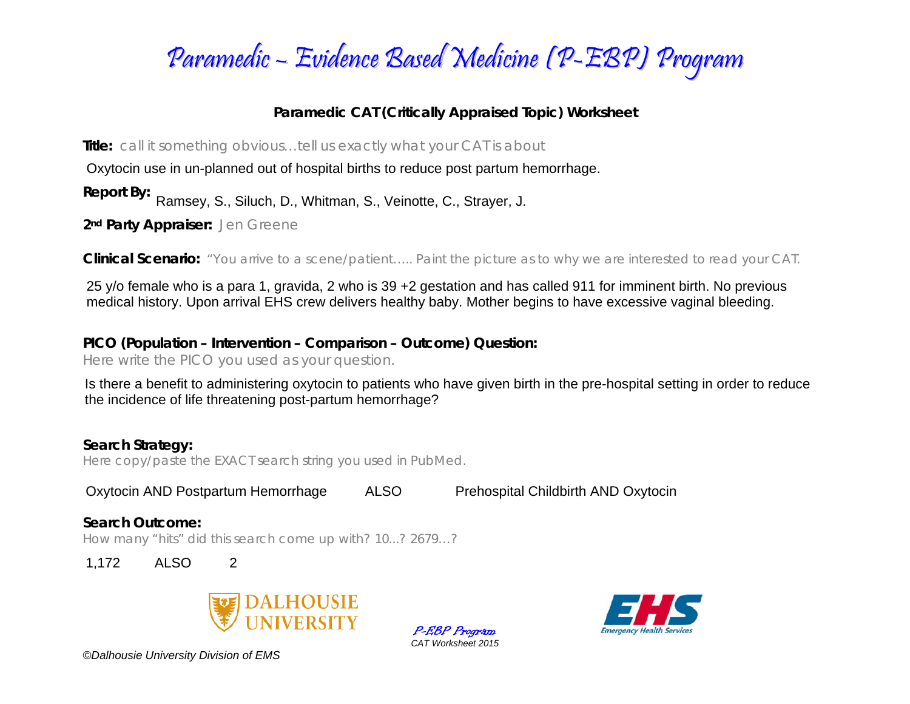

## **Paramedic CAT (Critically Appraised Topic) Worksheet**

**Title:** *call it something obvious…tell us exactly what your CAT is about* 

Oxytocin use in un-planned out of hospital births to reduce post partum hemorrhage.

**Report By:**  Ramsey, S., Siluch, D., Whitman, S., Veinotte, C., Strayer, J.

**2nd Party Appraiser:** *Jen Greene* 

**Clinical Scenario:** *"You arrive to a scene/patient….. Paint the picture as to why we are interested to read your CAT.*

25 y/o female who is a para 1, gravida, 2 who is 39 +2 gestation and has called 911 for imminent birth. No previous medical history. Upon arrival EHS crew delivers healthy baby. Mother begins to have excessive vaginal bleeding.

**PICO (Population – Intervention – Comparison – Outcome) Question:** 

*Here write the PICO you used as your question.* 

Is there a benefit to administering oxytocin to patients who have given birth in the pre-hospital setting in order to reduce the incidence of life threatening post-partum hemorrhage?

### **Search Strategy:**

*Here copy/paste the EXACT search string you used in PubMed.* 

Oxytocin AND Postpartum Hemorrhage ALSO Prehospital Childbirth AND Oxytocin

#### **Search Outcome:**

*How many "hits" did this search come up with? 10...? 2679…?* 

1,172 ALSO 2



P-EBP Program *CAT Worksheet 2015* 



*©Dalhousie University Division of EMS*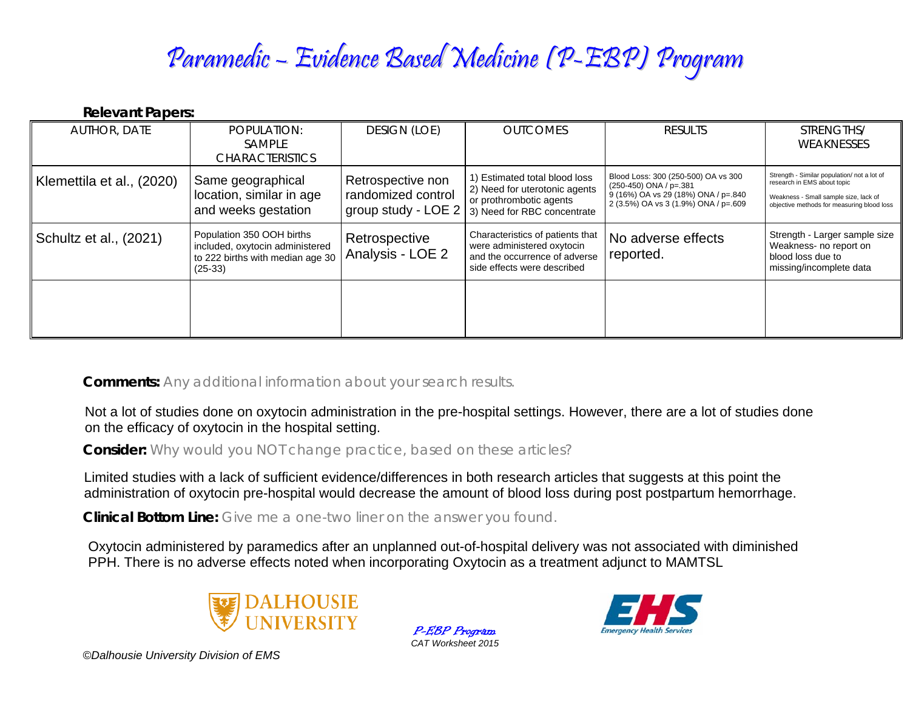# Paramedic – Evidence Based Medicine (P-EBP) Program

#### **Relevant Papers:**

| <b>AUTHOR, DATE</b>       | POPULATION:<br><b>SAMPLE</b><br><b>CHARACTERISTICS</b>                                                        | <b>DESIGN (LOE)</b>                                            | <b>OUTCOMES</b>                                                                                                                | <b>RESULTS</b>                                                                                                                                 | STRENGTHS/<br>WEAKNESSES                                                                                                                                          |
|---------------------------|---------------------------------------------------------------------------------------------------------------|----------------------------------------------------------------|--------------------------------------------------------------------------------------------------------------------------------|------------------------------------------------------------------------------------------------------------------------------------------------|-------------------------------------------------------------------------------------------------------------------------------------------------------------------|
| Klemettila et al., (2020) | Same geographical<br>location, similar in age<br>and weeks gestation                                          | Retrospective non<br>randomized control<br>group study - LOE 2 | 1) Estimated total blood loss<br>2) Need for uterotonic agents<br>or prothrombotic agents<br>3) Need for RBC concentrate       | Blood Loss: 300 (250-500) OA vs 300<br>$(250-450)$ ONA / p=.381<br>9 (16%) OA vs 29 (18%) ONA / p=.840<br>2 (3.5%) OA vs 3 (1.9%) ONA / p=.609 | Strength - Similar population/ not a lot of<br>research in EMS about topic<br>Weakness - Small sample size, lack of<br>objective methods for measuring blood loss |
| Schultz et al., (2021)    | Population 350 OOH births<br>included, oxytocin administered<br>to 222 births with median age 30<br>$(25-33)$ | Retrospective<br>Analysis - LOE 2                              | Characteristics of patients that<br>were administered oxytocin<br>and the occurrence of adverse<br>side effects were described | No adverse effects<br>reported.                                                                                                                | Strength - Larger sample size<br>Weakness- no report on<br>blood loss due to<br>missing/incomplete data                                                           |
|                           |                                                                                                               |                                                                |                                                                                                                                |                                                                                                                                                |                                                                                                                                                                   |

**Comments:** *Any additional information about your search results.*

Not a lot of studies done on oxytocin administration in the pre-hospital settings. However, there are a lot of studies done on the efficacy of oxytocin in the hospital setting.

**Consider:** *Why would you NOT change practice, based on these articles?*

Limited studies with a lack of sufficient evidence/differences in both research articles that suggests at this point the administration of oxytocin pre-hospital would decrease the amount of blood loss during post postpartum hemorrhage.

**Clinical Bottom Line:** *Give me a one-two liner on the answer you found.*

Oxytocin administered by paramedics after an unplanned out-of-hospital delivery was not associated with diminished PPH. There is no adverse effects noted when incorporating Oxytocin as a treatment adjunct to MAMTSL



P-EBP Program *CAT Worksheet 2015* 



*©Dalhousie University Division of EMS*